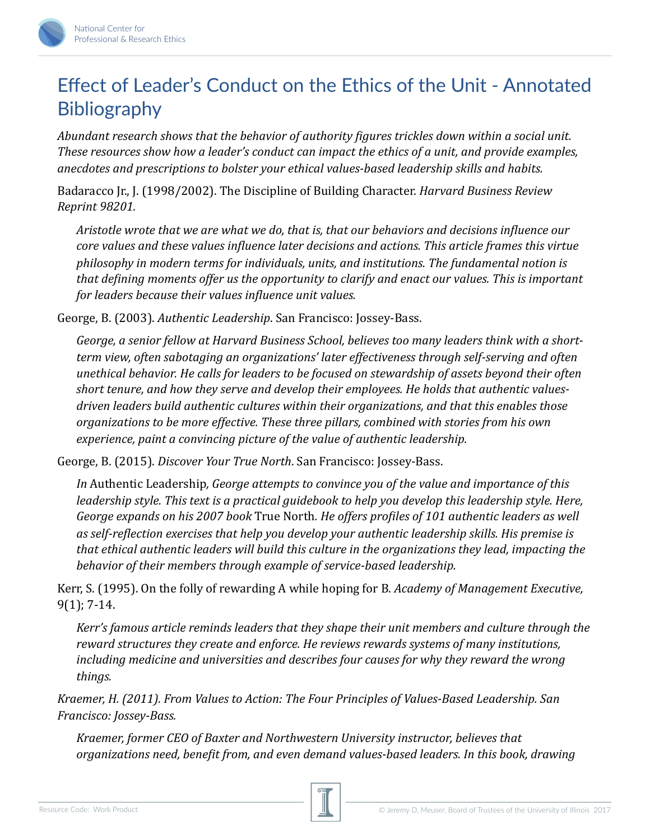## Effect of Leader's Conduct on the Ethics of the Unit - Annotated **Bibliography**

*Abundant research shows that the behavior of authority figures trickles down within a social unit. These resources show how a leader's conduct can impact the ethics of a unit, and provide examples,* anecdotes and prescriptions to bolster your ethical values-based leadership skills and habits.

Badaracco *Jr., J. (1998/2002).* The Discipline of Building Character. *Harvard Business Review Reprint 98201.* 

*Aristotle wrote that we are what we do, that is, that our behaviors and decisions influence our core values and these values influence later decisions and actions. This article frames this virtue philosophy in modern terms for individuals, units, and institutions. The fundamental notion is that defining moments offer us the opportunity to clarify and enact our values. This is important for leaders because their values influence unit values.* 

George, B. (2003). Authentic Leadership. San Francisco: Jossey-Bass.

George, a senior fellow at Harvard Business School, believes too many leaders think with a short*term* view, often sabotaging an organizations' later effectiveness through self-serving and often *unethical behavior. He calls for leaders to be focused on stewardship of assets beyond their often* short tenure, and how they serve and develop their employees. He holds that authentic values*driven leaders build authentic cultures within their organizations, and that this enables those organizations* to be more effective. These three pillars, combined with stories from his own experience, paint a convincing picture of the value of authentic leadership.

George, B. (2015). *Discover Your True North*. San Francisco: Jossey-Bass.

*In* Authentic Leadership, *George attempts to convince you of the value and importance of this leadership style. This text is a practical guidebook to help you develop this leadership style. Here, George expands on his 2007 book* True North. *He offers profiles of 101 authentic leaders as well* as self-reflection exercises that help you develop your authentic leadership skills. His premise is *that* ethical authentic leaders will build this culture in the organizations they lead, impacting the behavior of their members through example of service-based leadership.

Kerr, S. (1995). On the folly of rewarding A while hoping for B. *Academy of Management Executive,*  $9(1)$ ; 7-14.

*Kerr's* famous article reminds leaders that they shape their unit members and culture through the *reward structures they create and enforce. He reviews rewards systems of many institutions, including medicine and universities and describes four causes for why they reward the wrong* things.

*Kraemer, H. (2011). From Values to Action: The Four Principles of Values-Based Leadership. San Francisco: Jossey-Bass.* 

*Kraemer, former CEO of Baxter and Northwestern University instructor, believes that organizations need, benefit from, and even demand values-based leaders. In this book, drawing* 

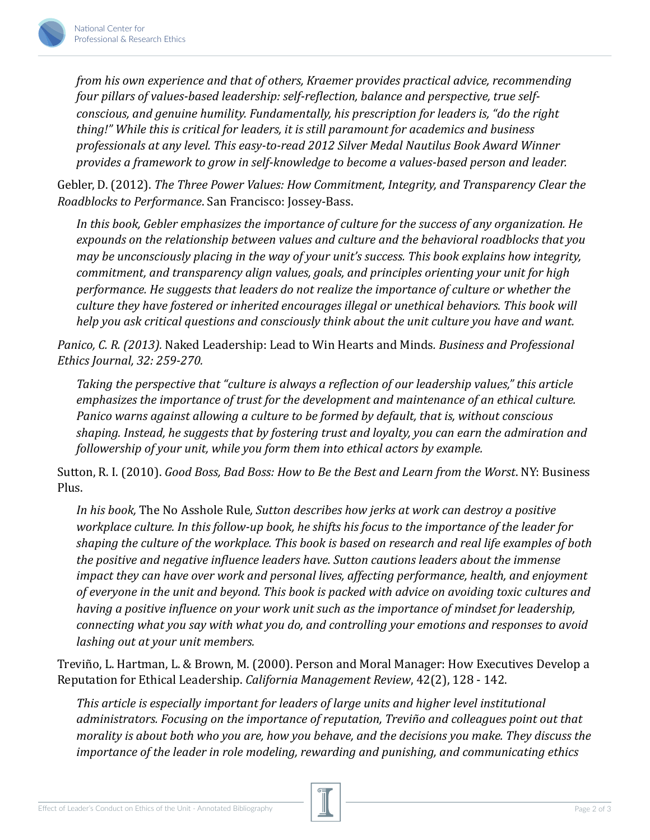

*from his own experience and that of others, Kraemer provides practical advice, recommending* four pillars of values-based leadership: self-reflection, balance and perspective, true self*conscious, and genuine humility. Fundamentally, his prescription for leaders is, "do the right thing!"* While this is critical for leaders, it is still paramount for academics and business professionals at any level. This easy-to-read 2012 Silver Medal Nautilus Book Award Winner provides a framework to grow in self-knowledge to become a values-based person and leader.

Gebler, D. (2012). *The Three Power Values: How Commitment, Integrity, and Transparency Clear the Roadblocks to Performance*. San Francisco: Jossey-Bass. 

In this book, Gebler emphasizes the *importance of culture for the success of any organization.* He expounds on the relationship between values and culture and the behavioral roadblocks that you *may be unconsciously placing in the way of your unit's success. This book explains how integrity, commitment, and transparency align values, goals, and principles orienting your unit for high performance.* He suggests that leaders do not realize the importance of culture or whether the *culture they have fostered or inherited encourages illegal or unethical behaviors. This book will help* you ask critical questions and consciously think about the unit culture you have and want.

*Panico, C. R. (2013).* Naked Leadership: Lead to Win Hearts and Minds. Business and Professional *Ethics Journal, 32: 259-270.* 

*Taking* the perspective that "culture is always a reflection of our leadership values," this article *emphasizes* the *importance of trust for the development and maintenance of an ethical culture. Panico warns against allowing a culture to be formed by default, that is, without conscious* shaping. Instead, he suggests that by fostering trust and loyalty, you can earn the admiration and *followership of your unit, while you form them into ethical actors by example.* 

Sutton, R. I. (2010). *Good Boss, Bad Boss: How to Be the Best and Learn from the Worst*. NY: Business Plus. 

*In his book,* The No Asshole Rule, Sutton describes how jerks at work can destroy a positive *workplace culture. In this follow-up book, he shifts his focus to the importance of the leader for* shaping the culture of the workplace. This book is based on research and real life examples of both *the positive and negative influence leaders have. Sutton cautions leaders about the immense impact they can have over work and personal lives, affecting performance, health, and enjoyment* of everyone in the unit and beyond. This book is packed with advice on avoiding toxic cultures and *having* a positive influence on your work unit such as the importance of mindset for leadership, *connecting* what you say with what you do, and controlling your emotions and responses to avoid *lashing out at your unit members.* 

Treviño, L. Hartman, L. & Brown, M. (2000). Person and Moral Manager: How Executives Develop a Reputation for Ethical Leadership. *California Management Review*, 42(2), 128 - 142.

This article is especially important for leaders of large units and higher level institutional *administrators.* Focusing on the importance of reputation, Treviño and colleagues point out that *morality* is about both who you are, how you behave, and the decisions you make. They discuss the *importance of the leader in role modeling, rewarding and punishing, and communicating ethics*